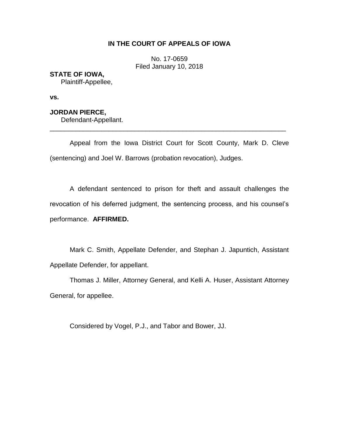# **IN THE COURT OF APPEALS OF IOWA**

No. 17-0659 Filed January 10, 2018

## **STATE OF IOWA,**

Plaintiff-Appellee,

**vs.** 

## **JORDAN PIERCE,**

Defendant-Appellant.

Appeal from the Iowa District Court for Scott County, Mark D. Cleve (sentencing) and Joel W. Barrows (probation revocation), Judges.

\_\_\_\_\_\_\_\_\_\_\_\_\_\_\_\_\_\_\_\_\_\_\_\_\_\_\_\_\_\_\_\_\_\_\_\_\_\_\_\_\_\_\_\_\_\_\_\_\_\_\_\_\_\_\_\_\_\_\_\_\_\_\_\_

A defendant sentenced to prison for theft and assault challenges the revocation of his deferred judgment, the sentencing process, and his counsel's performance. **AFFIRMED.**

Mark C. Smith, Appellate Defender, and Stephan J. Japuntich, Assistant Appellate Defender, for appellant.

Thomas J. Miller, Attorney General, and Kelli A. Huser, Assistant Attorney General, for appellee.

Considered by Vogel, P.J., and Tabor and Bower, JJ.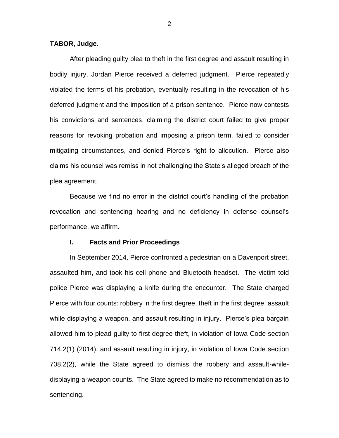## **TABOR, Judge.**

After pleading guilty plea to theft in the first degree and assault resulting in bodily injury, Jordan Pierce received a deferred judgment. Pierce repeatedly violated the terms of his probation, eventually resulting in the revocation of his deferred judgment and the imposition of a prison sentence. Pierce now contests his convictions and sentences, claiming the district court failed to give proper reasons for revoking probation and imposing a prison term, failed to consider mitigating circumstances, and denied Pierce's right to allocution. Pierce also claims his counsel was remiss in not challenging the State's alleged breach of the plea agreement.

Because we find no error in the district court's handling of the probation revocation and sentencing hearing and no deficiency in defense counsel's performance, we affirm.

### **I. Facts and Prior Proceedings**

In September 2014, Pierce confronted a pedestrian on a Davenport street, assaulted him, and took his cell phone and Bluetooth headset. The victim told police Pierce was displaying a knife during the encounter. The State charged Pierce with four counts: robbery in the first degree, theft in the first degree, assault while displaying a weapon, and assault resulting in injury. Pierce's plea bargain allowed him to plead guilty to first-degree theft, in violation of Iowa Code section 714.2(1) (2014), and assault resulting in injury, in violation of Iowa Code section 708.2(2), while the State agreed to dismiss the robbery and assault-whiledisplaying-a-weapon counts. The State agreed to make no recommendation as to sentencing.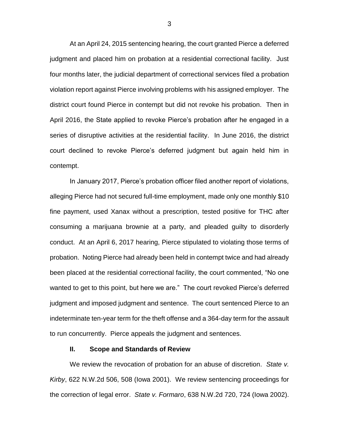At an April 24, 2015 sentencing hearing, the court granted Pierce a deferred judgment and placed him on probation at a residential correctional facility. Just four months later, the judicial department of correctional services filed a probation violation report against Pierce involving problems with his assigned employer. The district court found Pierce in contempt but did not revoke his probation. Then in April 2016, the State applied to revoke Pierce's probation after he engaged in a series of disruptive activities at the residential facility. In June 2016, the district court declined to revoke Pierce's deferred judgment but again held him in contempt.

In January 2017, Pierce's probation officer filed another report of violations, alleging Pierce had not secured full-time employment, made only one monthly \$10 fine payment, used Xanax without a prescription, tested positive for THC after consuming a marijuana brownie at a party, and pleaded guilty to disorderly conduct. At an April 6, 2017 hearing, Pierce stipulated to violating those terms of probation. Noting Pierce had already been held in contempt twice and had already been placed at the residential correctional facility, the court commented, "No one wanted to get to this point, but here we are." The court revoked Pierce's deferred judgment and imposed judgment and sentence. The court sentenced Pierce to an indeterminate ten-year term for the theft offense and a 364-day term for the assault to run concurrently. Pierce appeals the judgment and sentences.

### **II. Scope and Standards of Review**

We review the revocation of probation for an abuse of discretion. *State v. Kirby*, 622 N.W.2d 506, 508 (Iowa 2001). We review sentencing proceedings for the correction of legal error. *State v. Formaro*, 638 N.W.2d 720, 724 (Iowa 2002).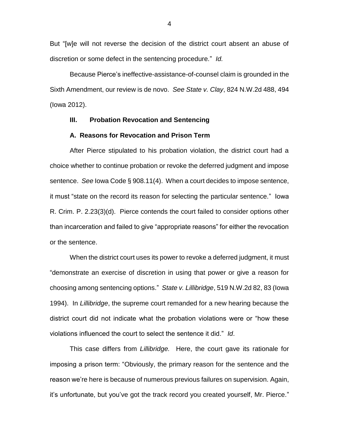But "[w]e will not reverse the decision of the district court absent an abuse of discretion or some defect in the sentencing procedure." *Id.*

Because Pierce's ineffective-assistance-of-counsel claim is grounded in the Sixth Amendment, our review is de novo. *See State v. Clay*, 824 N.W.2d 488, 494 (Iowa 2012).

### **III. Probation Revocation and Sentencing**

#### **A. Reasons for Revocation and Prison Term**

After Pierce stipulated to his probation violation, the district court had a choice whether to continue probation or revoke the deferred judgment and impose sentence. *See* Iowa Code § 908.11(4). When a court decides to impose sentence, it must "state on the record its reason for selecting the particular sentence." Iowa R. Crim. P. 2.23(3)(d). Pierce contends the court failed to consider options other than incarceration and failed to give "appropriate reasons" for either the revocation or the sentence.

When the district court uses its power to revoke a deferred judgment, it must "demonstrate an exercise of discretion in using that power or give a reason for choosing among sentencing options." *State v. Lillibridge*, 519 N.W.2d 82, 83 (Iowa 1994). In *Lillibridge*, the supreme court remanded for a new hearing because the district court did not indicate what the probation violations were or "how these violations influenced the court to select the sentence it did." *Id*.

This case differs from *Lillibridge.* Here, the court gave its rationale for imposing a prison term: "Obviously, the primary reason for the sentence and the reason we're here is because of numerous previous failures on supervision. Again, it's unfortunate, but you've got the track record you created yourself, Mr. Pierce."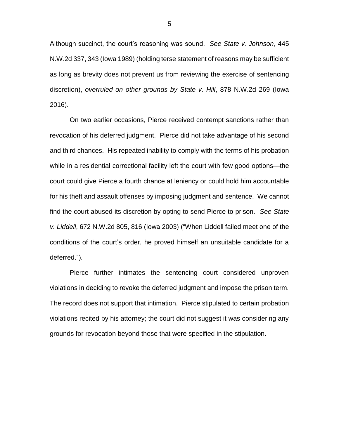Although succinct, the court's reasoning was sound. *See State v. Johnson*, 445 N.W.2d 337, 343 (Iowa 1989) (holding terse statement of reasons may be sufficient as long as brevity does not prevent us from reviewing the exercise of sentencing discretion), *overruled on other grounds by State v. Hill*, 878 N.W.2d 269 (Iowa 2016).

On two earlier occasions, Pierce received contempt sanctions rather than revocation of his deferred judgment. Pierce did not take advantage of his second and third chances. His repeated inability to comply with the terms of his probation while in a residential correctional facility left the court with few good options—the court could give Pierce a fourth chance at leniency or could hold him accountable for his theft and assault offenses by imposing judgment and sentence. We cannot find the court abused its discretion by opting to send Pierce to prison. *See State v. Liddell*, 672 N.W.2d 805, 816 (Iowa 2003) ("When Liddell failed meet one of the conditions of the court's order, he proved himself an unsuitable candidate for a deferred.").

Pierce further intimates the sentencing court considered unproven violations in deciding to revoke the deferred judgment and impose the prison term. The record does not support that intimation. Pierce stipulated to certain probation violations recited by his attorney; the court did not suggest it was considering any grounds for revocation beyond those that were specified in the stipulation.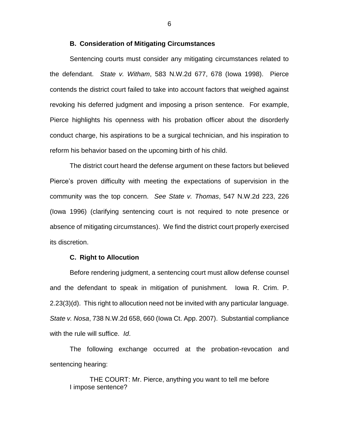### **B. Consideration of Mitigating Circumstances**

Sentencing courts must consider any mitigating circumstances related to the defendant. *State v. Witham*, 583 N.W.2d 677, 678 (Iowa 1998). Pierce contends the district court failed to take into account factors that weighed against revoking his deferred judgment and imposing a prison sentence. For example, Pierce highlights his openness with his probation officer about the disorderly conduct charge, his aspirations to be a surgical technician, and his inspiration to reform his behavior based on the upcoming birth of his child.

The district court heard the defense argument on these factors but believed Pierce's proven difficulty with meeting the expectations of supervision in the community was the top concern. *See State v. Thomas*, 547 N.W.2d 223, 226 (Iowa 1996) (clarifying sentencing court is not required to note presence or absence of mitigating circumstances). We find the district court properly exercised its discretion.

### **C. Right to Allocution**

Before rendering judgment, a sentencing court must allow defense counsel and the defendant to speak in mitigation of punishment. Iowa R. Crim. P. 2.23(3)(d). This right to allocution need not be invited with any particular language. *State v. Nosa*, 738 N.W.2d 658, 660 (Iowa Ct. App. 2007). Substantial compliance with the rule will suffice. *Id*.

The following exchange occurred at the probation-revocation and sentencing hearing:

THE COURT: Mr. Pierce, anything you want to tell me before I impose sentence?

6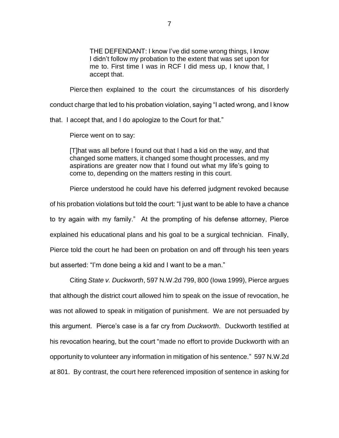THE DEFENDANT: I know I've did some wrong things, I know I didn't follow my probation to the extent that was set upon for me to. First time I was in RCF I did mess up, I know that, I accept that.

Pierce then explained to the court the circumstances of his disorderly

conduct charge that led to his probation violation, saying "I acted wrong, and I know

that. I accept that, and I do apologize to the Court for that."

Pierce went on to say:

[T]hat was all before I found out that I had a kid on the way, and that changed some matters, it changed some thought processes, and my aspirations are greater now that I found out what my life's going to come to, depending on the matters resting in this court.

Pierce understood he could have his deferred judgment revoked because of his probation violations but told the court: "I just want to be able to have a chance to try again with my family." At the prompting of his defense attorney, Pierce explained his educational plans and his goal to be a surgical technician. Finally, Pierce told the court he had been on probation on and off through his teen years but asserted: "I'm done being a kid and I want to be a man."

Citing *State v. Duckworth*, 597 N.W.2d 799, 800 (Iowa 1999), Pierce argues that although the district court allowed him to speak on the issue of revocation, he was not allowed to speak in mitigation of punishment. We are not persuaded by this argument. Pierce's case is a far cry from *Duckworth*. Duckworth testified at his revocation hearing, but the court "made no effort to provide Duckworth with an opportunity to volunteer any information in mitigation of his sentence." 597 N.W.2d at 801. By contrast, the court here referenced imposition of sentence in asking for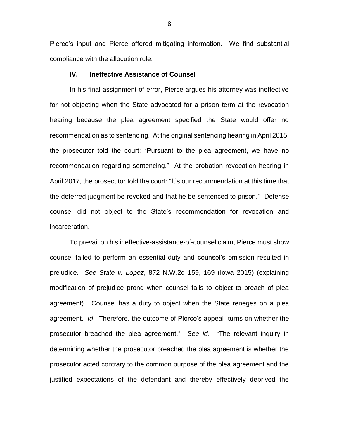Pierce's input and Pierce offered mitigating information. We find substantial compliance with the allocution rule.

## **IV. Ineffective Assistance of Counsel**

In his final assignment of error, Pierce argues his attorney was ineffective for not objecting when the State advocated for a prison term at the revocation hearing because the plea agreement specified the State would offer no recommendation as to sentencing. At the original sentencing hearing in April 2015, the prosecutor told the court: "Pursuant to the plea agreement, we have no recommendation regarding sentencing." At the probation revocation hearing in April 2017, the prosecutor told the court: "It's our recommendation at this time that the deferred judgment be revoked and that he be sentenced to prison." Defense counsel did not object to the State's recommendation for revocation and incarceration.

To prevail on his ineffective-assistance-of-counsel claim, Pierce must show counsel failed to perform an essential duty and counsel's omission resulted in prejudice. *See State v. Lopez*, 872 N.W.2d 159, 169 (Iowa 2015) (explaining modification of prejudice prong when counsel fails to object to breach of plea agreement). Counsel has a duty to object when the State reneges on a plea agreement. *Id*. Therefore, the outcome of Pierce's appeal "turns on whether the prosecutor breached the plea agreement." *See id*. "The relevant inquiry in determining whether the prosecutor breached the plea agreement is whether the prosecutor acted contrary to the common purpose of the plea agreement and the justified expectations of the defendant and thereby effectively deprived the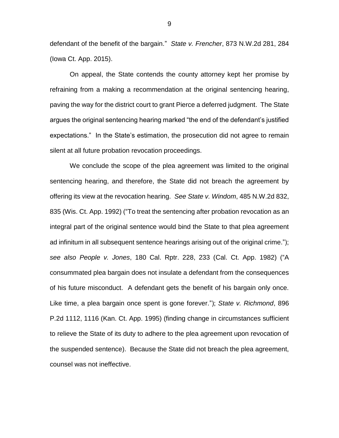defendant of the benefit of the bargain." *State v. Frencher*, 873 N.W.2d 281, 284 (Iowa Ct. App. 2015).

On appeal, the State contends the county attorney kept her promise by refraining from a making a recommendation at the original sentencing hearing, paving the way for the district court to grant Pierce a deferred judgment. The State argues the original sentencing hearing marked "the end of the defendant's justified expectations." In the State's estimation, the prosecution did not agree to remain silent at all future probation revocation proceedings.

We conclude the scope of the plea agreement was limited to the original sentencing hearing, and therefore, the State did not breach the agreement by offering its view at the revocation hearing. *See State v. Windom*, 485 N.W.2d 832, 835 (Wis. Ct. App. 1992) ("To treat the sentencing after probation revocation as an integral part of the original sentence would bind the State to that plea agreement ad infinitum in all subsequent sentence hearings arising out of the original crime."); *see also People v. Jones*, 180 Cal. Rptr. 228, 233 (Cal. Ct. App. 1982) ("A consummated plea bargain does not insulate a defendant from the consequences of his future misconduct. A defendant gets the benefit of his bargain only once. Like time, a plea bargain once spent is gone forever."); *State v. Richmond*, 896 P.2d 1112, 1116 (Kan. Ct. App. 1995) (finding change in circumstances sufficient to relieve the State of its duty to adhere to the plea agreement upon revocation of the suspended sentence). Because the State did not breach the plea agreement, counsel was not ineffective.

9